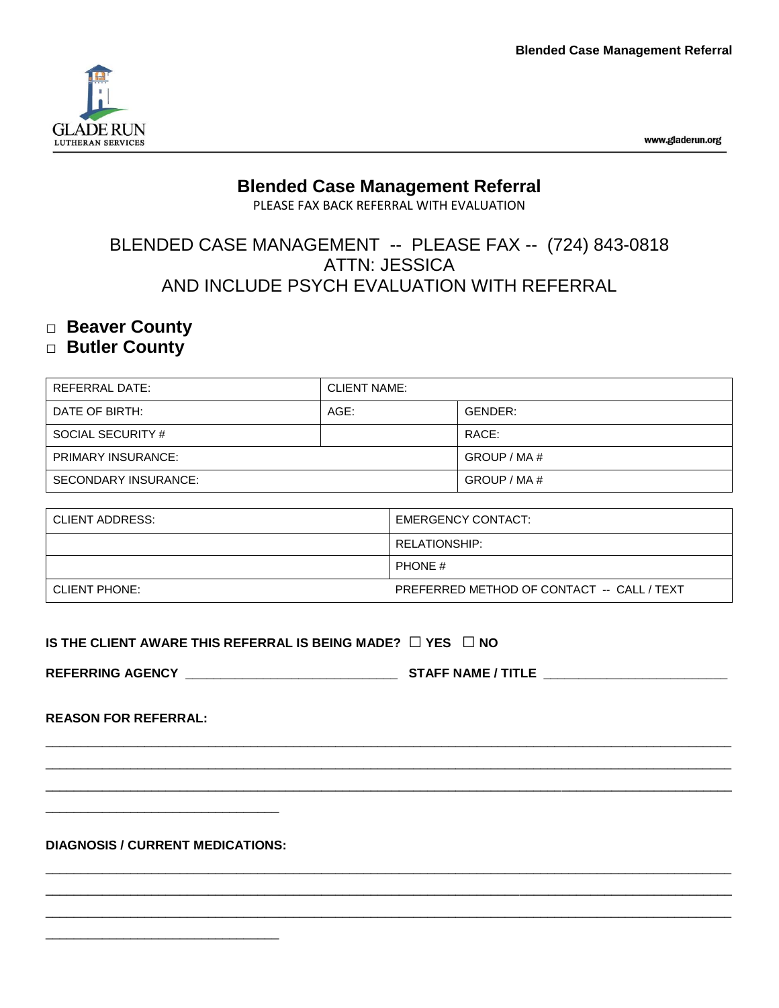

www.gladerun.org

# **Blended Case Management Referral**

PLEASE FAX BACK REFERRAL WITH EVALUATION

# BLENDED CASE MANAGEMENT -- PLEASE FAX -- (724) 843-0818 ATTN: JESSICA AND INCLUDE PSYCH EVALUATION WITH REFERRAL

### □ **Beaver County**

### □ **Butler County**

| REFERRAL DATE:            | <b>CLIENT NAME:</b> |              |
|---------------------------|---------------------|--------------|
| DATE OF BIRTH:            | AGE:                | GENDER:      |
| SOCIAL SECURITY #         |                     | RACE:        |
| <b>PRIMARY INSURANCE:</b> |                     | GROUP / MA # |
| SECONDARY INSURANCE:      |                     | GROUP / MA#  |

| CLIENT ADDRESS:      | EMERGENCY CONTACT:                         |
|----------------------|--------------------------------------------|
|                      | RELATIONSHIP:                              |
|                      | PHONE #                                    |
| <b>CLIENT PHONE:</b> | PREFERRED METHOD OF CONTACT -- CALL / TEXT |

\_\_\_\_\_\_\_\_\_\_\_\_\_\_\_\_\_\_\_\_\_\_\_\_\_\_\_\_\_\_\_\_\_\_\_\_\_\_\_\_\_\_\_\_\_\_\_\_\_\_\_\_\_\_\_\_\_\_\_\_\_\_\_\_\_\_\_\_\_\_\_\_\_\_\_\_\_\_\_\_\_\_\_\_\_\_\_\_\_\_\_\_\_\_\_\_\_ \_\_\_\_\_\_\_\_\_\_\_\_\_\_\_\_\_\_\_\_\_\_\_\_\_\_\_\_\_\_\_\_\_\_\_\_\_\_\_\_\_\_\_\_\_\_\_\_\_\_\_\_\_\_\_\_\_\_\_\_\_\_\_\_\_\_\_\_\_\_\_\_\_\_\_\_\_\_\_\_\_\_\_\_\_\_\_\_\_\_\_\_\_\_\_\_\_  $\Box$ 

 $\Box$  $\Box$  $\Box$ 

**REFERRING AGENCY \_\_\_\_\_\_\_\_\_\_\_\_\_\_\_\_\_\_\_\_\_\_\_\_\_\_\_\_\_\_ STAFF NAME / TITLE \_\_\_\_\_\_\_\_\_\_\_\_\_\_\_\_\_\_\_\_\_\_\_\_\_\_**

**REASON FOR REFERRAL:**

**DIAGNOSIS / CURRENT MEDICATIONS:**

\_\_\_\_\_\_\_\_\_\_\_\_\_\_\_\_\_\_\_\_\_\_\_\_\_\_\_\_\_\_\_\_\_

\_\_\_\_\_\_\_\_\_\_\_\_\_\_\_\_\_\_\_\_\_\_\_\_\_\_\_\_\_\_\_\_\_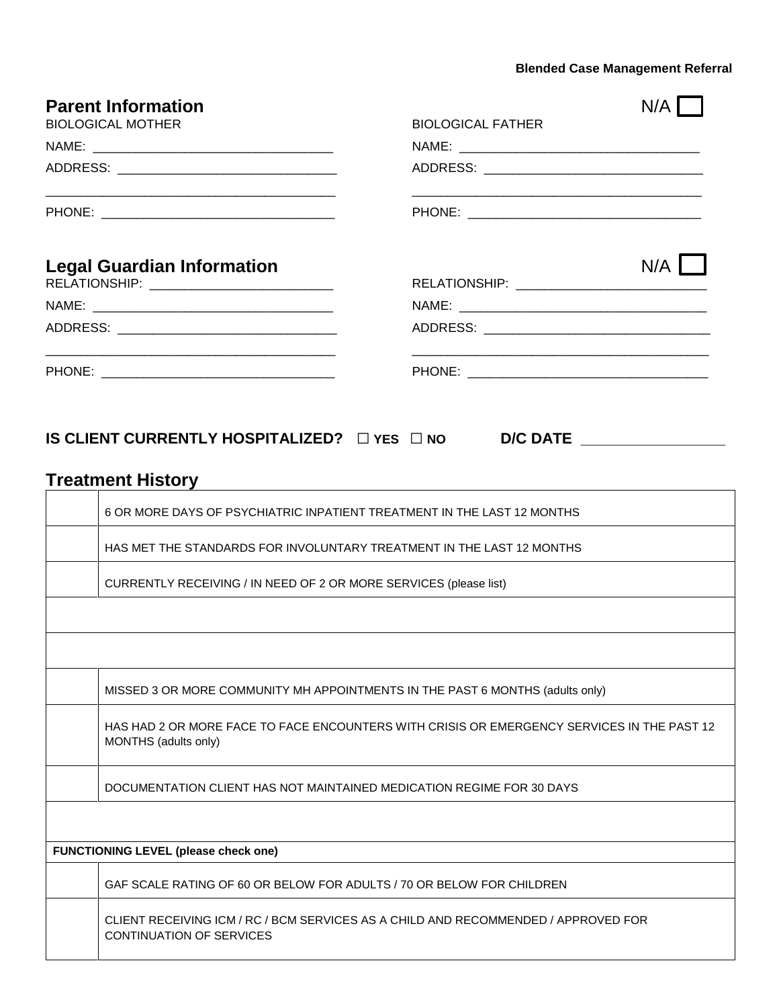#### **Blended Case Management Referral**

| <b>Parent Information</b><br><b>BIOLOGICAL MOTHER</b>                                                                 | N/A<br><b>BIOLOGICAL FATHER</b>                                                            |  |
|-----------------------------------------------------------------------------------------------------------------------|--------------------------------------------------------------------------------------------|--|
|                                                                                                                       |                                                                                            |  |
|                                                                                                                       |                                                                                            |  |
|                                                                                                                       |                                                                                            |  |
| <b>Legal Guardian Information</b><br>RELATIONSHIP: ____________________________                                       | N/A                                                                                        |  |
|                                                                                                                       |                                                                                            |  |
| ADDRESS: _________________________________                                                                            |                                                                                            |  |
|                                                                                                                       |                                                                                            |  |
| <b>Treatment History</b>                                                                                              | <u> 1980 - Johann Stoff, fransk politik (d. 1980)</u>                                      |  |
| 6 OR MORE DAYS OF PSYCHIATRIC INPATIENT TREATMENT IN THE LAST 12 MONTHS                                               |                                                                                            |  |
| HAS MET THE STANDARDS FOR INVOLUNTARY TREATMENT IN THE LAST 12 MONTHS                                                 |                                                                                            |  |
| CURRENTLY RECEIVING / IN NEED OF 2 OR MORE SERVICES (please list)                                                     |                                                                                            |  |
|                                                                                                                       |                                                                                            |  |
| MISSED 3 OR MORE COMMUNITY MH APPOINTMENTS IN THE PAST 6 MONTHS (adults only)                                         |                                                                                            |  |
| MONTHS (adults only)                                                                                                  | HAS HAD 2 OR MORE FACE TO FACE ENCOUNTERS WITH CRISIS OR EMERGENCY SERVICES IN THE PAST 12 |  |
| DOCUMENTATION CLIENT HAS NOT MAINTAINED MEDICATION REGIME FOR 30 DAYS                                                 |                                                                                            |  |
|                                                                                                                       |                                                                                            |  |
| <b>FUNCTIONING LEVEL (please check one)</b>                                                                           |                                                                                            |  |
| GAF SCALE RATING OF 60 OR BELOW FOR ADULTS / 70 OR BELOW FOR CHILDREN                                                 |                                                                                            |  |
| CLIENT RECEIVING ICM / RC / BCM SERVICES AS A CHILD AND RECOMMENDED / APPROVED FOR<br><b>CONTINUATION OF SERVICES</b> |                                                                                            |  |
|                                                                                                                       |                                                                                            |  |